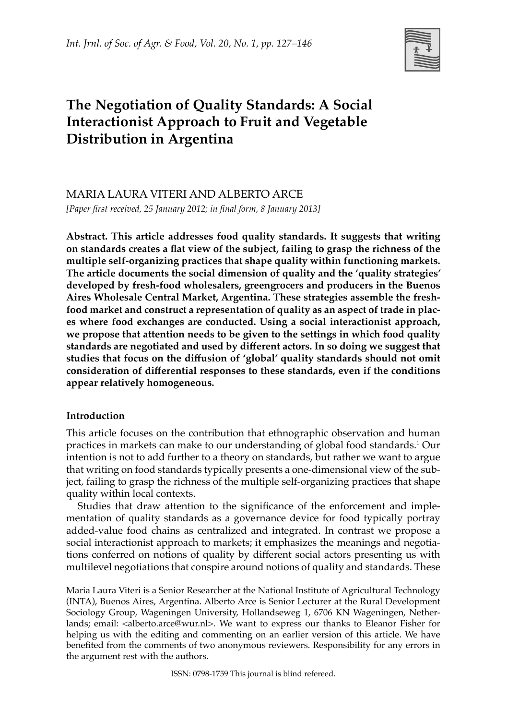

# **The Negotiation of Quality Standards: A Social Interactionist Approach to Fruit and Vegetable Distribution in Argentina**

Maria Laura Viteri and Alberto Arce

*[Paper first received, 25 January 2012; in final form, 8 January 2013]*

**Abstract. This article addresses food quality standards. It suggests that writing on standards creates a flat view of the subject, failing to grasp the richness of the multiple self-organizing practices that shape quality within functioning markets. The article documents the social dimension of quality and the 'quality strategies' developed by fresh-food wholesalers, greengrocers and producers in the Buenos Aires Wholesale Central Market, Argentina. These strategies assemble the freshfood market and construct a representation of quality as an aspect of trade in places where food exchanges are conducted. Using a social interactionist approach, we propose that attention needs to be given to the settings in which food quality standards are negotiated and used by different actors. In so doing we suggest that studies that focus on the diffusion of 'global' quality standards should not omit consideration of differential responses to these standards, even if the conditions appear relatively homogeneous.**

# **Introduction**

This article focuses on the contribution that ethnographic observation and human practices in markets can make to our understanding of global food standards.1 Our intention is not to add further to a theory on standards, but rather we want to argue that writing on food standards typically presents a one-dimensional view of the subject, failing to grasp the richness of the multiple self-organizing practices that shape quality within local contexts.

Studies that draw attention to the significance of the enforcement and implementation of quality standards as a governance device for food typically portray added-value food chains as centralized and integrated. In contrast we propose a social interactionist approach to markets; it emphasizes the meanings and negotiations conferred on notions of quality by different social actors presenting us with multilevel negotiations that conspire around notions of quality and standards. These

Maria Laura Viteri is a Senior Researcher at the National Institute of Agricultural Technology (INTA), Buenos Aires, Argentina. Alberto Arce is Senior Lecturer at the Rural Development Sociology Group, Wageningen University, Hollandseweg 1, 6706 KN Wageningen, Netherlands; email: <alberto.arce@wur.nl>. We want to express our thanks to Eleanor Fisher for helping us with the editing and commenting on an earlier version of this article. We have benefited from the comments of two anonymous reviewers. Responsibility for any errors in the argument rest with the authors.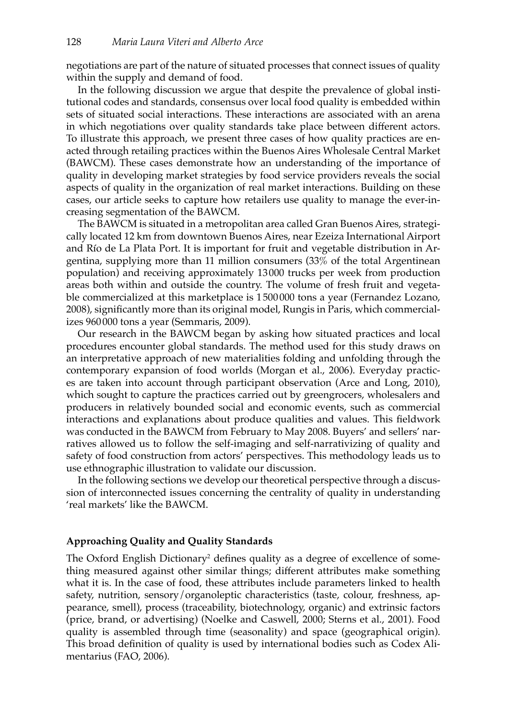negotiations are part of the nature of situated processes that connect issues of quality within the supply and demand of food.

In the following discussion we argue that despite the prevalence of global institutional codes and standards, consensus over local food quality is embedded within sets of situated social interactions. These interactions are associated with an arena in which negotiations over quality standards take place between different actors. To illustrate this approach, we present three cases of how quality practices are enacted through retailing practices within the Buenos Aires Wholesale Central Market (BAWCM). These cases demonstrate how an understanding of the importance of quality in developing market strategies by food service providers reveals the social aspects of quality in the organization of real market interactions. Building on these cases, our article seeks to capture how retailers use quality to manage the ever-increasing segmentation of the BAWCM.

The BAWCM is situated in a metropolitan area called Gran Buenos Aires, strategically located 12 km from downtown Buenos Aires, near Ezeiza International Airport and Río de La Plata Port. It is important for fruit and vegetable distribution in Argentina, supplying more than 11 million consumers (33% of the total Argentinean population) and receiving approximately 13000 trucks per week from production areas both within and outside the country. The volume of fresh fruit and vegetable commercialized at this marketplace is 1 500000 tons a year (Fernandez Lozano, 2008), significantly more than its original model, Rungis in Paris, which commercializes 960000 tons a year (Semmaris, 2009).

Our research in the BAWCM began by asking how situated practices and local procedures encounter global standards. The method used for this study draws on an interpretative approach of new materialities folding and unfolding through the contemporary expansion of food worlds (Morgan et al., 2006). Everyday practices are taken into account through participant observation (Arce and Long, 2010), which sought to capture the practices carried out by greengrocers, wholesalers and producers in relatively bounded social and economic events, such as commercial interactions and explanations about produce qualities and values. This fieldwork was conducted in the BAWCM from February to May 2008. Buyers' and sellers' narratives allowed us to follow the self-imaging and self-narrativizing of quality and safety of food construction from actors' perspectives. This methodology leads us to use ethnographic illustration to validate our discussion.

In the following sections we develop our theoretical perspective through a discussion of interconnected issues concerning the centrality of quality in understanding 'real markets' like the BAWCM.

## **Approaching Quality and Quality Standards**

The Oxford English Dictionary<sup>2</sup> defines quality as a degree of excellence of something measured against other similar things; different attributes make something what it is. In the case of food, these attributes include parameters linked to health safety, nutrition, sensory/organoleptic characteristics (taste, colour, freshness, appearance, smell), process (traceability, biotechnology, organic) and extrinsic factors (price, brand, or advertising) (Noelke and Caswell, 2000; Sterns et al., 2001). Food quality is assembled through time (seasonality) and space (geographical origin). This broad definition of quality is used by international bodies such as Codex Alimentarius (FAO, 2006).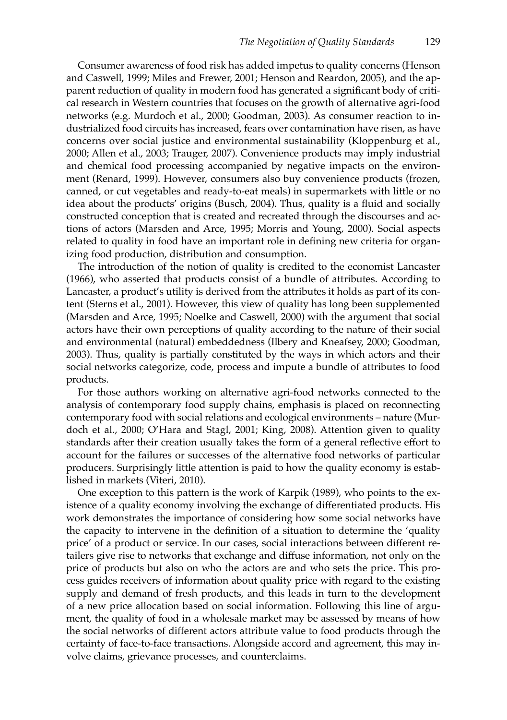Consumer awareness of food risk has added impetus to quality concerns (Henson and Caswell, 1999; Miles and Frewer, 2001; Henson and Reardon, 2005), and the apparent reduction of quality in modern food has generated a significant body of critical research in Western countries that focuses on the growth of alternative agri-food networks (e.g. Murdoch et al., 2000; Goodman, 2003). As consumer reaction to industrialized food circuits has increased, fears over contamination have risen, as have concerns over social justice and environmental sustainability (Kloppenburg et al., 2000; Allen et al., 2003; Trauger, 2007). Convenience products may imply industrial and chemical food processing accompanied by negative impacts on the environment (Renard, 1999). However, consumers also buy convenience products (frozen, canned, or cut vegetables and ready-to-eat meals) in supermarkets with little or no idea about the products' origins (Busch, 2004). Thus, quality is a fluid and socially constructed conception that is created and recreated through the discourses and actions of actors (Marsden and Arce, 1995; Morris and Young, 2000). Social aspects related to quality in food have an important role in defining new criteria for organizing food production, distribution and consumption.

The introduction of the notion of quality is credited to the economist Lancaster (1966), who asserted that products consist of a bundle of attributes. According to Lancaster, a product's utility is derived from the attributes it holds as part of its content (Sterns et al., 2001). However, this view of quality has long been supplemented (Marsden and Arce, 1995; Noelke and Caswell, 2000) with the argument that social actors have their own perceptions of quality according to the nature of their social and environmental (natural) embeddedness (Ilbery and Kneafsey, 2000; Goodman, 2003). Thus, quality is partially constituted by the ways in which actors and their social networks categorize, code, process and impute a bundle of attributes to food products.

For those authors working on alternative agri-food networks connected to the analysis of contemporary food supply chains, emphasis is placed on reconnecting contemporary food with social relations and ecological environments – nature (Murdoch et al., 2000; O'Hara and Stagl, 2001; King, 2008). Attention given to quality standards after their creation usually takes the form of a general reflective effort to account for the failures or successes of the alternative food networks of particular producers. Surprisingly little attention is paid to how the quality economy is established in markets (Viteri, 2010).

One exception to this pattern is the work of Karpik (1989), who points to the existence of a quality economy involving the exchange of differentiated products. His work demonstrates the importance of considering how some social networks have the capacity to intervene in the definition of a situation to determine the 'quality price' of a product or service. In our cases, social interactions between different retailers give rise to networks that exchange and diffuse information, not only on the price of products but also on who the actors are and who sets the price. This process guides receivers of information about quality price with regard to the existing supply and demand of fresh products, and this leads in turn to the development of a new price allocation based on social information. Following this line of argument, the quality of food in a wholesale market may be assessed by means of how the social networks of different actors attribute value to food products through the certainty of face-to-face transactions. Alongside accord and agreement, this may involve claims, grievance processes, and counterclaims.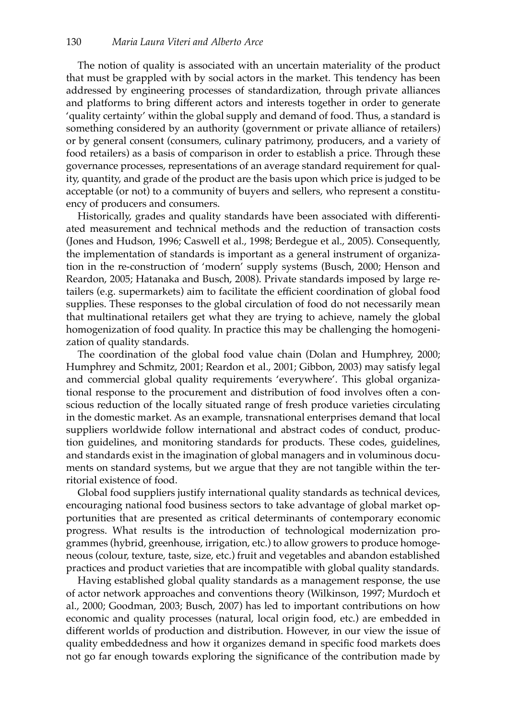The notion of quality is associated with an uncertain materiality of the product that must be grappled with by social actors in the market. This tendency has been addressed by engineering processes of standardization, through private alliances and platforms to bring different actors and interests together in order to generate 'quality certainty' within the global supply and demand of food. Thus, a standard is something considered by an authority (government or private alliance of retailers) or by general consent (consumers, culinary patrimony, producers, and a variety of food retailers) as a basis of comparison in order to establish a price. Through these governance processes, representations of an average standard requirement for quality, quantity, and grade of the product are the basis upon which price is judged to be acceptable (or not) to a community of buyers and sellers, who represent a constituency of producers and consumers.

Historically, grades and quality standards have been associated with differentiated measurement and technical methods and the reduction of transaction costs (Jones and Hudson, 1996; Caswell et al., 1998; Berdegue et al., 2005). Consequently, the implementation of standards is important as a general instrument of organization in the re-construction of 'modern' supply systems (Busch, 2000; Henson and Reardon, 2005; Hatanaka and Busch, 2008). Private standards imposed by large retailers (e.g. supermarkets) aim to facilitate the efficient coordination of global food supplies. These responses to the global circulation of food do not necessarily mean that multinational retailers get what they are trying to achieve, namely the global homogenization of food quality. In practice this may be challenging the homogenization of quality standards.

The coordination of the global food value chain (Dolan and Humphrey, 2000; Humphrey and Schmitz, 2001; Reardon et al., 2001; Gibbon, 2003) may satisfy legal and commercial global quality requirements 'everywhere'. This global organizational response to the procurement and distribution of food involves often a conscious reduction of the locally situated range of fresh produce varieties circulating in the domestic market. As an example, transnational enterprises demand that local suppliers worldwide follow international and abstract codes of conduct, production guidelines, and monitoring standards for products. These codes, guidelines, and standards exist in the imagination of global managers and in voluminous documents on standard systems, but we argue that they are not tangible within the territorial existence of food.

Global food suppliers justify international quality standards as technical devices, encouraging national food business sectors to take advantage of global market opportunities that are presented as critical determinants of contemporary economic progress. What results is the introduction of technological modernization programmes (hybrid, greenhouse, irrigation, etc.) to allow growers to produce homogeneous (colour, texture, taste, size, etc.) fruit and vegetables and abandon established practices and product varieties that are incompatible with global quality standards.

Having established global quality standards as a management response, the use of actor network approaches and conventions theory (Wilkinson, 1997; Murdoch et al., 2000; Goodman, 2003; Busch, 2007) has led to important contributions on how economic and quality processes (natural, local origin food, etc.) are embedded in different worlds of production and distribution. However, in our view the issue of quality embeddedness and how it organizes demand in specific food markets does not go far enough towards exploring the significance of the contribution made by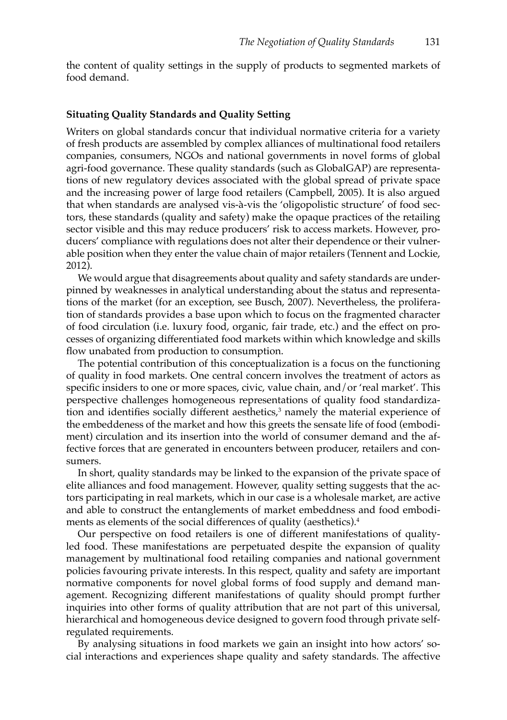the content of quality settings in the supply of products to segmented markets of food demand.

## **Situating Quality Standards and Quality Setting**

Writers on global standards concur that individual normative criteria for a variety of fresh products are assembled by complex alliances of multinational food retailers companies, consumers, NGOs and national governments in novel forms of global agri-food governance. These quality standards (such as GlobalGAP) are representations of new regulatory devices associated with the global spread of private space and the increasing power of large food retailers (Campbell, 2005). It is also argued that when standards are analysed vis-à-vis the 'oligopolistic structure' of food sectors, these standards (quality and safety) make the opaque practices of the retailing sector visible and this may reduce producers' risk to access markets. However, producers' compliance with regulations does not alter their dependence or their vulnerable position when they enter the value chain of major retailers (Tennent and Lockie, 2012).

We would argue that disagreements about quality and safety standards are underpinned by weaknesses in analytical understanding about the status and representations of the market (for an exception, see Busch, 2007). Nevertheless, the proliferation of standards provides a base upon which to focus on the fragmented character of food circulation (i.e. luxury food, organic, fair trade, etc.) and the effect on processes of organizing differentiated food markets within which knowledge and skills flow unabated from production to consumption.

The potential contribution of this conceptualization is a focus on the functioning of quality in food markets. One central concern involves the treatment of actors as specific insiders to one or more spaces, civic, value chain, and/or 'real market'. This perspective challenges homogeneous representations of quality food standardization and identifies socially different aesthetics,<sup>3</sup> namely the material experience of the embeddeness of the market and how this greets the sensate life of food (embodiment) circulation and its insertion into the world of consumer demand and the affective forces that are generated in encounters between producer, retailers and consumers.

In short, quality standards may be linked to the expansion of the private space of elite alliances and food management. However, quality setting suggests that the actors participating in real markets, which in our case is a wholesale market, are active and able to construct the entanglements of market embeddness and food embodiments as elements of the social differences of quality (aesthetics).<sup>4</sup>

Our perspective on food retailers is one of different manifestations of qualityled food. These manifestations are perpetuated despite the expansion of quality management by multinational food retailing companies and national government policies favouring private interests. In this respect, quality and safety are important normative components for novel global forms of food supply and demand management. Recognizing different manifestations of quality should prompt further inquiries into other forms of quality attribution that are not part of this universal, hierarchical and homogeneous device designed to govern food through private selfregulated requirements.

By analysing situations in food markets we gain an insight into how actors' social interactions and experiences shape quality and safety standards. The affective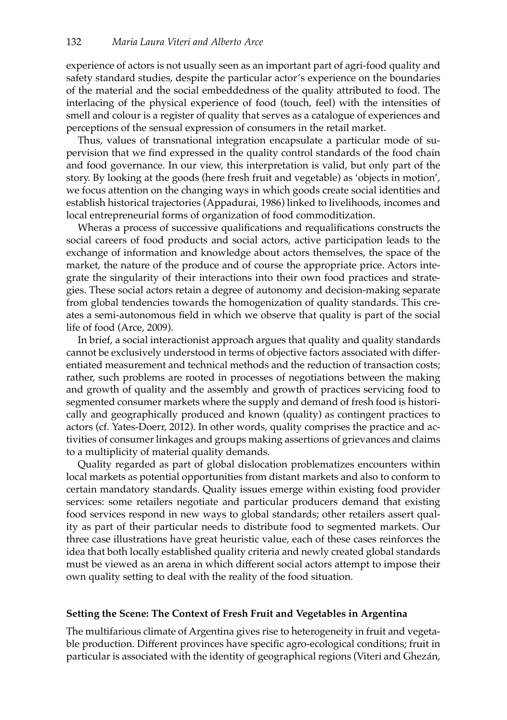experience of actors is not usually seen as an important part of agri-food quality and safety standard studies, despite the particular actor's experience on the boundaries of the material and the social embeddedness of the quality attributed to food. The interlacing of the physical experience of food (touch, feel) with the intensities of smell and colour is a register of quality that serves as a catalogue of experiences and perceptions of the sensual expression of consumers in the retail market.

Thus, values of transnational integration encapsulate a particular mode of supervision that we find expressed in the quality control standards of the food chain and food governance. In our view, this interpretation is valid, but only part of the story. By looking at the goods (here fresh fruit and vegetable) as 'objects in motion', we focus attention on the changing ways in which goods create social identities and establish historical trajectories (Appadurai, 1986) linked to livelihoods, incomes and local entrepreneurial forms of organization of food commoditization.

Wheras a process of successive qualifications and requalifications constructs the social careers of food products and social actors, active participation leads to the exchange of information and knowledge about actors themselves, the space of the market, the nature of the produce and of course the appropriate price. Actors integrate the singularity of their interactions into their own food practices and strategies. These social actors retain a degree of autonomy and decision-making separate from global tendencies towards the homogenization of quality standards. This creates a semi-autonomous field in which we observe that quality is part of the social life of food (Arce, 2009).

In brief, a social interactionist approach argues that quality and quality standards cannot be exclusively understood in terms of objective factors associated with differentiated measurement and technical methods and the reduction of transaction costs; rather, such problems are rooted in processes of negotiations between the making and growth of quality and the assembly and growth of practices servicing food to segmented consumer markets where the supply and demand of fresh food is historically and geographically produced and known (quality) as contingent practices to actors (cf. Yates-Doerr, 2012). In other words, quality comprises the practice and activities of consumer linkages and groups making assertions of grievances and claims to a multiplicity of material quality demands.

Quality regarded as part of global dislocation problematizes encounters within local markets as potential opportunities from distant markets and also to conform to certain mandatory standards. Quality issues emerge within existing food provider services: some retailers negotiate and particular producers demand that existing food services respond in new ways to global standards; other retailers assert quality as part of their particular needs to distribute food to segmented markets. Our three case illustrations have great heuristic value, each of these cases reinforces the idea that both locally established quality criteria and newly created global standards must be viewed as an arena in which different social actors attempt to impose their own quality setting to deal with the reality of the food situation.

## **Setting the Scene: The Context of Fresh Fruit and Vegetables in Argentina**

The multifarious climate of Argentina gives rise to heterogeneity in fruit and vegetable production. Different provinces have specific agro-ecological conditions; fruit in particular is associated with the identity of geographical regions (Viteri and Ghezán,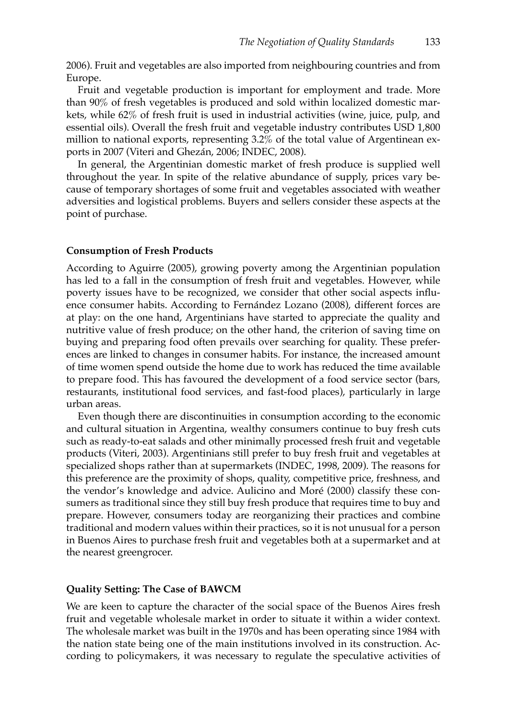2006). Fruit and vegetables are also imported from neighbouring countries and from Europe.

Fruit and vegetable production is important for employment and trade. More than 90% of fresh vegetables is produced and sold within localized domestic markets, while 62% of fresh fruit is used in industrial activities (wine, juice, pulp, and essential oils). Overall the fresh fruit and vegetable industry contributes USD 1,800 million to national exports, representing 3.2% of the total value of Argentinean exports in 2007 (Viteri and Ghezán, 2006; INDEC, 2008).

In general, the Argentinian domestic market of fresh produce is supplied well throughout the year. In spite of the relative abundance of supply, prices vary because of temporary shortages of some fruit and vegetables associated with weather adversities and logistical problems. Buyers and sellers consider these aspects at the point of purchase.

## **Consumption of Fresh Products**

According to Aguirre (2005), growing poverty among the Argentinian population has led to a fall in the consumption of fresh fruit and vegetables. However, while poverty issues have to be recognized, we consider that other social aspects influence consumer habits. According to Fernández Lozano (2008), different forces are at play: on the one hand, Argentinians have started to appreciate the quality and nutritive value of fresh produce; on the other hand, the criterion of saving time on buying and preparing food often prevails over searching for quality. These preferences are linked to changes in consumer habits. For instance, the increased amount of time women spend outside the home due to work has reduced the time available to prepare food. This has favoured the development of a food service sector (bars, restaurants, institutional food services, and fast-food places), particularly in large urban areas.

Even though there are discontinuities in consumption according to the economic and cultural situation in Argentina, wealthy consumers continue to buy fresh cuts such as ready-to-eat salads and other minimally processed fresh fruit and vegetable products (Viteri, 2003). Argentinians still prefer to buy fresh fruit and vegetables at specialized shops rather than at supermarkets (INDEC, 1998, 2009). The reasons for this preference are the proximity of shops, quality, competitive price, freshness, and the vendor's knowledge and advice. Aulicino and Moré (2000) classify these consumers as traditional since they still buy fresh produce that requires time to buy and prepare. However, consumers today are reorganizing their practices and combine traditional and modern values within their practices, so it is not unusual for a person in Buenos Aires to purchase fresh fruit and vegetables both at a supermarket and at the nearest greengrocer.

#### **Quality Setting: The Case of BAWCM**

We are keen to capture the character of the social space of the Buenos Aires fresh fruit and vegetable wholesale market in order to situate it within a wider context. The wholesale market was built in the 1970s and has been operating since 1984 with the nation state being one of the main institutions involved in its construction. According to policymakers, it was necessary to regulate the speculative activities of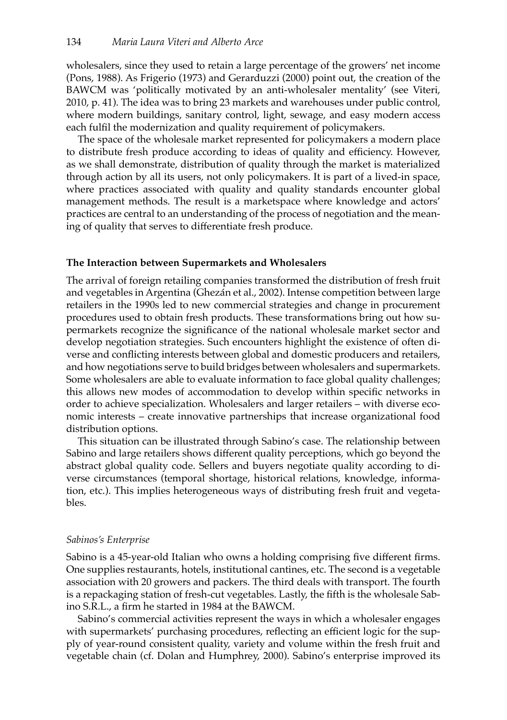wholesalers, since they used to retain a large percentage of the growers' net income (Pons, 1988). As Frigerio (1973) and Gerarduzzi (2000) point out, the creation of the BAWCM was 'politically motivated by an anti-wholesaler mentality' (see Viteri, 2010, p. 41). The idea was to bring 23 markets and warehouses under public control, where modern buildings, sanitary control, light, sewage, and easy modern access each fulfil the modernization and quality requirement of policymakers.

The space of the wholesale market represented for policymakers a modern place to distribute fresh produce according to ideas of quality and efficiency. However, as we shall demonstrate, distribution of quality through the market is materialized through action by all its users, not only policymakers. It is part of a lived-in space, where practices associated with quality and quality standards encounter global management methods. The result is a marketspace where knowledge and actors' practices are central to an understanding of the process of negotiation and the meaning of quality that serves to differentiate fresh produce.

## **The Interaction between Supermarkets and Wholesalers**

The arrival of foreign retailing companies transformed the distribution of fresh fruit and vegetables in Argentina (Ghezán et al., 2002). Intense competition between large retailers in the 1990s led to new commercial strategies and change in procurement procedures used to obtain fresh products. These transformations bring out how supermarkets recognize the significance of the national wholesale market sector and develop negotiation strategies. Such encounters highlight the existence of often diverse and conflicting interests between global and domestic producers and retailers, and how negotiations serve to build bridges between wholesalers and supermarkets. Some wholesalers are able to evaluate information to face global quality challenges; this allows new modes of accommodation to develop within specific networks in order to achieve specialization. Wholesalers and larger retailers – with diverse economic interests – create innovative partnerships that increase organizational food distribution options.

This situation can be illustrated through Sabino's case. The relationship between Sabino and large retailers shows different quality perceptions, which go beyond the abstract global quality code. Sellers and buyers negotiate quality according to diverse circumstances (temporal shortage, historical relations, knowledge, information, etc.). This implies heterogeneous ways of distributing fresh fruit and vegetables.

## *Sabinos's Enterprise*

Sabino is a 45-year-old Italian who owns a holding comprising five different firms. One supplies restaurants, hotels, institutional cantines, etc. The second is a vegetable association with 20 growers and packers. The third deals with transport. The fourth is a repackaging station of fresh-cut vegetables. Lastly, the fifth is the wholesale Sabino S.R.L., a firm he started in 1984 at the BAWCM.

Sabino's commercial activities represent the ways in which a wholesaler engages with supermarkets' purchasing procedures, reflecting an efficient logic for the supply of year-round consistent quality, variety and volume within the fresh fruit and vegetable chain (cf. Dolan and Humphrey, 2000). Sabino's enterprise improved its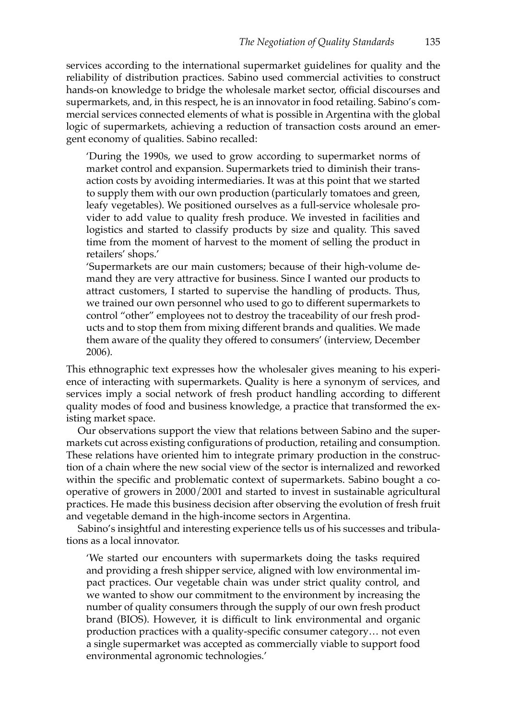services according to the international supermarket guidelines for quality and the reliability of distribution practices. Sabino used commercial activities to construct hands-on knowledge to bridge the wholesale market sector, official discourses and supermarkets, and, in this respect, he is an innovator in food retailing. Sabino's commercial services connected elements of what is possible in Argentina with the global logic of supermarkets, achieving a reduction of transaction costs around an emergent economy of qualities. Sabino recalled:

'During the 1990s, we used to grow according to supermarket norms of market control and expansion. Supermarkets tried to diminish their transaction costs by avoiding intermediaries. It was at this point that we started to supply them with our own production (particularly tomatoes and green, leafy vegetables). We positioned ourselves as a full-service wholesale provider to add value to quality fresh produce. We invested in facilities and logistics and started to classify products by size and quality. This saved time from the moment of harvest to the moment of selling the product in retailers' shops.'

'Supermarkets are our main customers; because of their high-volume demand they are very attractive for business. Since I wanted our products to attract customers, I started to supervise the handling of products. Thus, we trained our own personnel who used to go to different supermarkets to control "other" employees not to destroy the traceability of our fresh products and to stop them from mixing different brands and qualities. We made them aware of the quality they offered to consumers' (interview, December 2006).

This ethnographic text expresses how the wholesaler gives meaning to his experience of interacting with supermarkets. Quality is here a synonym of services, and services imply a social network of fresh product handling according to different quality modes of food and business knowledge, a practice that transformed the existing market space.

Our observations support the view that relations between Sabino and the supermarkets cut across existing configurations of production, retailing and consumption. These relations have oriented him to integrate primary production in the construction of a chain where the new social view of the sector is internalized and reworked within the specific and problematic context of supermarkets. Sabino bought a cooperative of growers in 2000/2001 and started to invest in sustainable agricultural practices. He made this business decision after observing the evolution of fresh fruit and vegetable demand in the high-income sectors in Argentina.

Sabino's insightful and interesting experience tells us of his successes and tribulations as a local innovator.

'We started our encounters with supermarkets doing the tasks required and providing a fresh shipper service, aligned with low environmental impact practices. Our vegetable chain was under strict quality control, and we wanted to show our commitment to the environment by increasing the number of quality consumers through the supply of our own fresh product brand (BIOS). However, it is difficult to link environmental and organic production practices with a quality-specific consumer category… not even a single supermarket was accepted as commercially viable to support food environmental agronomic technologies.'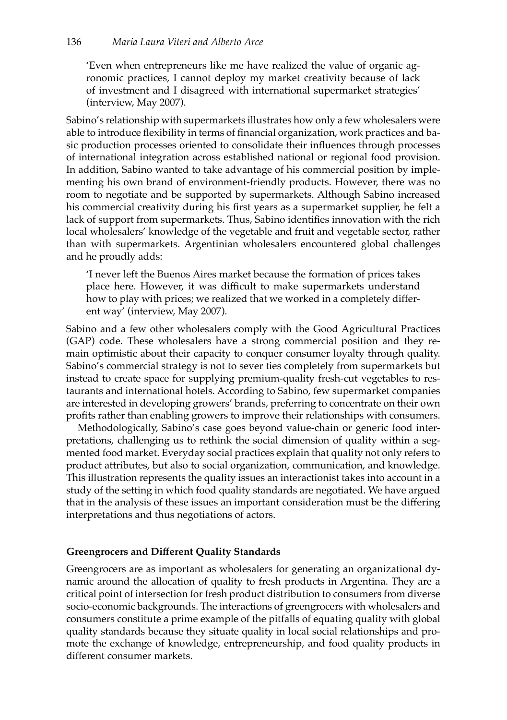'Even when entrepreneurs like me have realized the value of organic agronomic practices, I cannot deploy my market creativity because of lack of investment and I disagreed with international supermarket strategies' (interview, May 2007).

Sabino's relationship with supermarkets illustrates how only a few wholesalers were able to introduce flexibility in terms of financial organization, work practices and basic production processes oriented to consolidate their influences through processes of international integration across established national or regional food provision. In addition, Sabino wanted to take advantage of his commercial position by implementing his own brand of environment-friendly products. However, there was no room to negotiate and be supported by supermarkets. Although Sabino increased his commercial creativity during his first years as a supermarket supplier, he felt a lack of support from supermarkets. Thus, Sabino identifies innovation with the rich local wholesalers' knowledge of the vegetable and fruit and vegetable sector, rather than with supermarkets. Argentinian wholesalers encountered global challenges and he proudly adds:

'I never left the Buenos Aires market because the formation of prices takes place here. However, it was difficult to make supermarkets understand how to play with prices; we realized that we worked in a completely different way' (interview, May 2007).

Sabino and a few other wholesalers comply with the Good Agricultural Practices (GAP) code. These wholesalers have a strong commercial position and they remain optimistic about their capacity to conquer consumer loyalty through quality. Sabino's commercial strategy is not to sever ties completely from supermarkets but instead to create space for supplying premium-quality fresh-cut vegetables to restaurants and international hotels. According to Sabino, few supermarket companies are interested in developing growers' brands, preferring to concentrate on their own profits rather than enabling growers to improve their relationships with consumers.

Methodologically, Sabino's case goes beyond value-chain or generic food interpretations, challenging us to rethink the social dimension of quality within a segmented food market. Everyday social practices explain that quality not only refers to product attributes, but also to social organization, communication, and knowledge. This illustration represents the quality issues an interactionist takes into account in a study of the setting in which food quality standards are negotiated. We have argued that in the analysis of these issues an important consideration must be the differing interpretations and thus negotiations of actors.

# **Greengrocers and Different Quality Standards**

Greengrocers are as important as wholesalers for generating an organizational dynamic around the allocation of quality to fresh products in Argentina. They are a critical point of intersection for fresh product distribution to consumers from diverse socio-economic backgrounds. The interactions of greengrocers with wholesalers and consumers constitute a prime example of the pitfalls of equating quality with global quality standards because they situate quality in local social relationships and promote the exchange of knowledge, entrepreneurship, and food quality products in different consumer markets.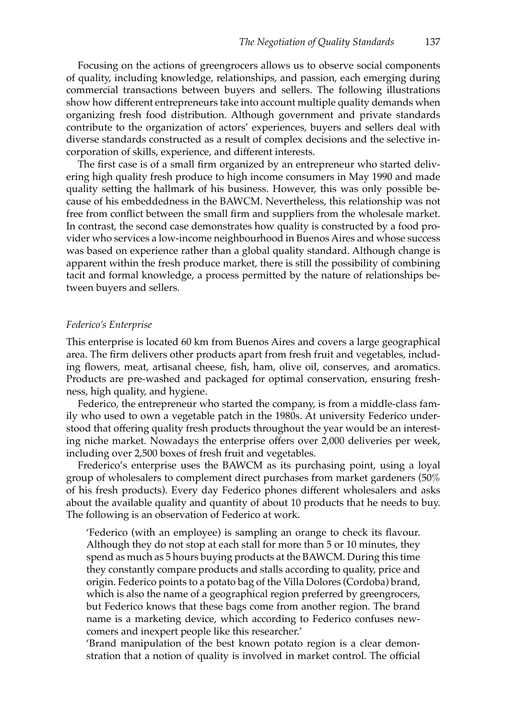Focusing on the actions of greengrocers allows us to observe social components of quality, including knowledge, relationships, and passion, each emerging during commercial transactions between buyers and sellers. The following illustrations show how different entrepreneurs take into account multiple quality demands when organizing fresh food distribution. Although government and private standards contribute to the organization of actors' experiences, buyers and sellers deal with diverse standards constructed as a result of complex decisions and the selective incorporation of skills, experience, and different interests.

The first case is of a small firm organized by an entrepreneur who started delivering high quality fresh produce to high income consumers in May 1990 and made quality setting the hallmark of his business. However, this was only possible because of his embeddedness in the BAWCM. Nevertheless, this relationship was not free from conflict between the small firm and suppliers from the wholesale market. In contrast, the second case demonstrates how quality is constructed by a food provider who services a low-income neighbourhood in Buenos Aires and whose success was based on experience rather than a global quality standard. Although change is apparent within the fresh produce market, there is still the possibility of combining tacit and formal knowledge, a process permitted by the nature of relationships between buyers and sellers.

#### *Federico's Enterprise*

This enterprise is located 60 km from Buenos Aires and covers a large geographical area. The firm delivers other products apart from fresh fruit and vegetables, including flowers, meat, artisanal cheese, fish, ham, olive oil, conserves, and aromatics. Products are pre-washed and packaged for optimal conservation, ensuring freshness, high quality, and hygiene.

Federico, the entrepreneur who started the company, is from a middle-class family who used to own a vegetable patch in the 1980s. At university Federico understood that offering quality fresh products throughout the year would be an interesting niche market. Nowadays the enterprise offers over 2,000 deliveries per week, including over 2,500 boxes of fresh fruit and vegetables.

Frederico's enterprise uses the BAWCM as its purchasing point, using a loyal group of wholesalers to complement direct purchases from market gardeners (50% of his fresh products). Every day Federico phones different wholesalers and asks about the available quality and quantity of about 10 products that he needs to buy. The following is an observation of Federico at work.

'Federico (with an employee) is sampling an orange to check its flavour. Although they do not stop at each stall for more than 5 or 10 minutes, they spend as much as 5 hours buying products at the BAWCM. During this time they constantly compare products and stalls according to quality, price and origin. Federico points to a potato bag of the Villa Dolores (Cordoba) brand, which is also the name of a geographical region preferred by greengrocers, but Federico knows that these bags come from another region. The brand name is a marketing device, which according to Federico confuses newcomers and inexpert people like this researcher.'

'Brand manipulation of the best known potato region is a clear demonstration that a notion of quality is involved in market control. The official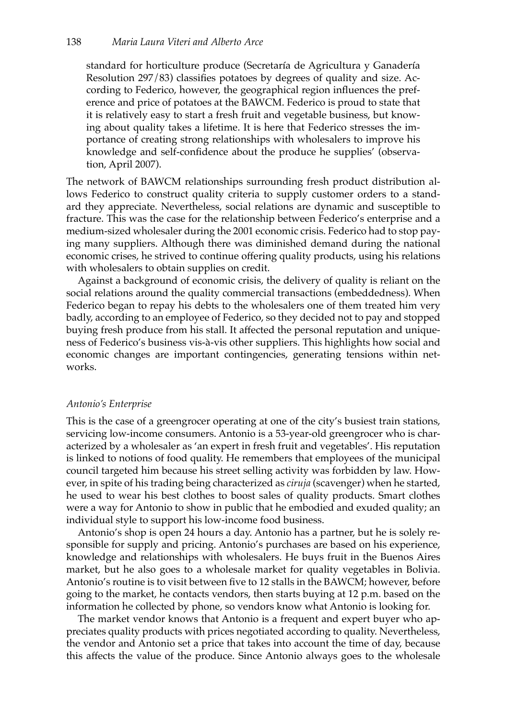standard for horticulture produce (Secretaría de Agricultura y Ganadería Resolution 297/83) classifies potatoes by degrees of quality and size. According to Federico, however, the geographical region influences the preference and price of potatoes at the BAWCM. Federico is proud to state that it is relatively easy to start a fresh fruit and vegetable business, but knowing about quality takes a lifetime. It is here that Federico stresses the importance of creating strong relationships with wholesalers to improve his knowledge and self-confidence about the produce he supplies' (observation, April 2007).

The network of BAWCM relationships surrounding fresh product distribution allows Federico to construct quality criteria to supply customer orders to a standard they appreciate. Nevertheless, social relations are dynamic and susceptible to fracture. This was the case for the relationship between Federico's enterprise and a medium-sized wholesaler during the 2001 economic crisis. Federico had to stop paying many suppliers. Although there was diminished demand during the national economic crises, he strived to continue offering quality products, using his relations with wholesalers to obtain supplies on credit.

Against a background of economic crisis, the delivery of quality is reliant on the social relations around the quality commercial transactions (embeddedness). When Federico began to repay his debts to the wholesalers one of them treated him very badly, according to an employee of Federico, so they decided not to pay and stopped buying fresh produce from his stall. It affected the personal reputation and uniqueness of Federico's business vis-à-vis other suppliers. This highlights how social and economic changes are important contingencies, generating tensions within networks.

# *Antonio's Enterprise*

This is the case of a greengrocer operating at one of the city's busiest train stations, servicing low-income consumers. Antonio is a 53-year-old greengrocer who is characterized by a wholesaler as 'an expert in fresh fruit and vegetables'. His reputation is linked to notions of food quality. He remembers that employees of the municipal council targeted him because his street selling activity was forbidden by law. However, in spite of his trading being characterized as *ciruja* (scavenger) when he started, he used to wear his best clothes to boost sales of quality products. Smart clothes were a way for Antonio to show in public that he embodied and exuded quality; an individual style to support his low-income food business.

Antonio's shop is open 24 hours a day. Antonio has a partner, but he is solely responsible for supply and pricing. Antonio's purchases are based on his experience, knowledge and relationships with wholesalers. He buys fruit in the Buenos Aires market, but he also goes to a wholesale market for quality vegetables in Bolivia. Antonio's routine is to visit between five to 12 stalls in the BAWCM; however, before going to the market, he contacts vendors, then starts buying at 12 p.m. based on the information he collected by phone, so vendors know what Antonio is looking for.

The market vendor knows that Antonio is a frequent and expert buyer who appreciates quality products with prices negotiated according to quality. Nevertheless, the vendor and Antonio set a price that takes into account the time of day, because this affects the value of the produce. Since Antonio always goes to the wholesale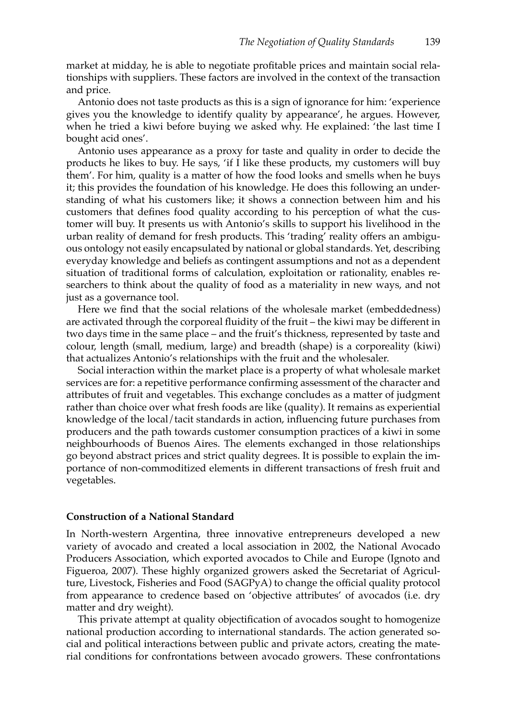market at midday, he is able to negotiate profitable prices and maintain social relationships with suppliers. These factors are involved in the context of the transaction and price.

Antonio does not taste products as this is a sign of ignorance for him: 'experience gives you the knowledge to identify quality by appearance', he argues. However, when he tried a kiwi before buying we asked why. He explained: 'the last time I bought acid ones'.

Antonio uses appearance as a proxy for taste and quality in order to decide the products he likes to buy. He says, 'if I like these products, my customers will buy them'. For him, quality is a matter of how the food looks and smells when he buys it; this provides the foundation of his knowledge. He does this following an understanding of what his customers like; it shows a connection between him and his customers that defines food quality according to his perception of what the customer will buy. It presents us with Antonio's skills to support his livelihood in the urban reality of demand for fresh products. This 'trading' reality offers an ambiguous ontology not easily encapsulated by national or global standards. Yet, describing everyday knowledge and beliefs as contingent assumptions and not as a dependent situation of traditional forms of calculation, exploitation or rationality, enables researchers to think about the quality of food as a materiality in new ways, and not just as a governance tool.

Here we find that the social relations of the wholesale market (embeddedness) are activated through the corporeal fluidity of the fruit – the kiwi may be different in two days time in the same place – and the fruit's thickness, represented by taste and colour, length (small, medium, large) and breadth (shape) is a corporeality (kiwi) that actualizes Antonio's relationships with the fruit and the wholesaler.

Social interaction within the market place is a property of what wholesale market services are for: a repetitive performance confirming assessment of the character and attributes of fruit and vegetables. This exchange concludes as a matter of judgment rather than choice over what fresh foods are like (quality). It remains as experiential knowledge of the local/tacit standards in action, influencing future purchases from producers and the path towards customer consumption practices of a kiwi in some neighbourhoods of Buenos Aires. The elements exchanged in those relationships go beyond abstract prices and strict quality degrees. It is possible to explain the importance of non-commoditized elements in different transactions of fresh fruit and vegetables.

# **Construction of a National Standard**

In North-western Argentina, three innovative entrepreneurs developed a new variety of avocado and created a local association in 2002, the National Avocado Producers Association, which exported avocados to Chile and Europe (Ignoto and Figueroa, 2007). These highly organized growers asked the Secretariat of Agriculture, Livestock, Fisheries and Food (SAGPyA) to change the official quality protocol from appearance to credence based on 'objective attributes' of avocados (i.e. dry matter and dry weight).

This private attempt at quality objectification of avocados sought to homogenize national production according to international standards. The action generated social and political interactions between public and private actors, creating the material conditions for confrontations between avocado growers. These confrontations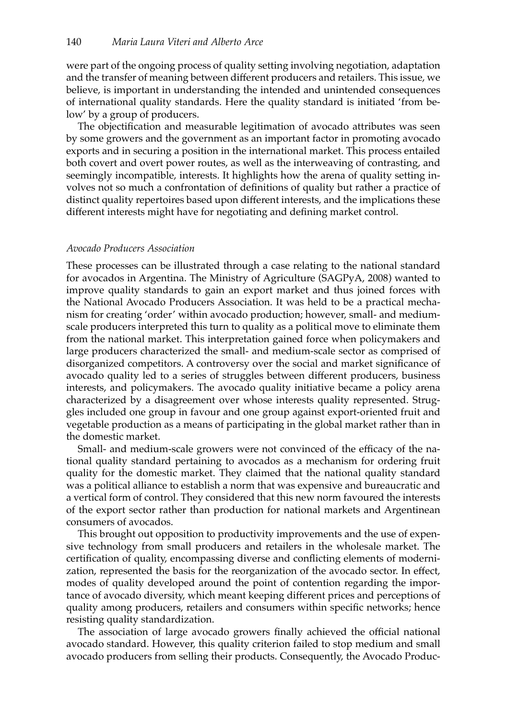were part of the ongoing process of quality setting involving negotiation, adaptation and the transfer of meaning between different producers and retailers. This issue, we believe, is important in understanding the intended and unintended consequences of international quality standards. Here the quality standard is initiated 'from below' by a group of producers.

The objectification and measurable legitimation of avocado attributes was seen by some growers and the government as an important factor in promoting avocado exports and in securing a position in the international market. This process entailed both covert and overt power routes, as well as the interweaving of contrasting, and seemingly incompatible, interests. It highlights how the arena of quality setting involves not so much a confrontation of definitions of quality but rather a practice of distinct quality repertoires based upon different interests, and the implications these different interests might have for negotiating and defining market control.

#### *Avocado Producers Association*

These processes can be illustrated through a case relating to the national standard for avocados in Argentina. The Ministry of Agriculture (SAGPyA, 2008) wanted to improve quality standards to gain an export market and thus joined forces with the National Avocado Producers Association. It was held to be a practical mechanism for creating 'order' within avocado production; however, small- and mediumscale producers interpreted this turn to quality as a political move to eliminate them from the national market. This interpretation gained force when policymakers and large producers characterized the small- and medium-scale sector as comprised of disorganized competitors. A controversy over the social and market significance of avocado quality led to a series of struggles between different producers, business interests, and policymakers. The avocado quality initiative became a policy arena characterized by a disagreement over whose interests quality represented. Struggles included one group in favour and one group against export-oriented fruit and vegetable production as a means of participating in the global market rather than in the domestic market.

Small- and medium-scale growers were not convinced of the efficacy of the national quality standard pertaining to avocados as a mechanism for ordering fruit quality for the domestic market. They claimed that the national quality standard was a political alliance to establish a norm that was expensive and bureaucratic and a vertical form of control. They considered that this new norm favoured the interests of the export sector rather than production for national markets and Argentinean consumers of avocados.

This brought out opposition to productivity improvements and the use of expensive technology from small producers and retailers in the wholesale market. The certification of quality, encompassing diverse and conflicting elements of modernization, represented the basis for the reorganization of the avocado sector. In effect, modes of quality developed around the point of contention regarding the importance of avocado diversity, which meant keeping different prices and perceptions of quality among producers, retailers and consumers within specific networks; hence resisting quality standardization.

The association of large avocado growers finally achieved the official national avocado standard. However, this quality criterion failed to stop medium and small avocado producers from selling their products. Consequently, the Avocado Produc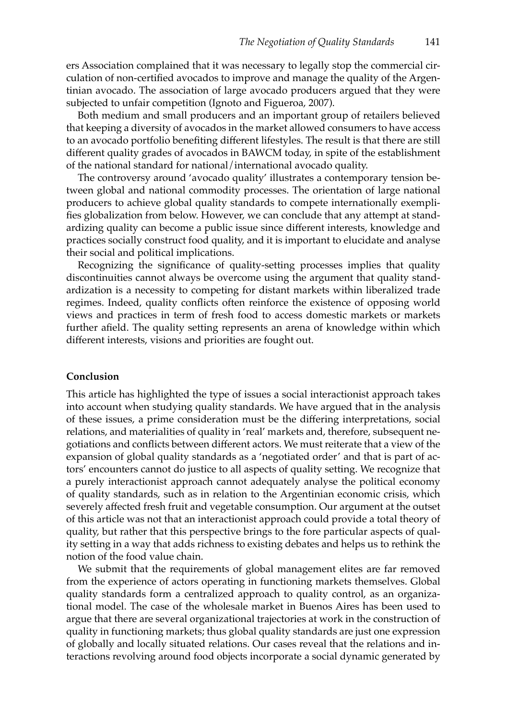ers Association complained that it was necessary to legally stop the commercial circulation of non-certified avocados to improve and manage the quality of the Argentinian avocado. The association of large avocado producers argued that they were subjected to unfair competition (Ignoto and Figueroa, 2007).

Both medium and small producers and an important group of retailers believed that keeping a diversity of avocados in the market allowed consumers to have access to an avocado portfolio benefiting different lifestyles. The result is that there are still different quality grades of avocados in BAWCM today, in spite of the establishment of the national standard for national/international avocado quality.

The controversy around 'avocado quality' illustrates a contemporary tension between global and national commodity processes. The orientation of large national producers to achieve global quality standards to compete internationally exemplifies globalization from below. However, we can conclude that any attempt at standardizing quality can become a public issue since different interests, knowledge and practices socially construct food quality, and it is important to elucidate and analyse their social and political implications.

Recognizing the significance of quality-setting processes implies that quality discontinuities cannot always be overcome using the argument that quality standardization is a necessity to competing for distant markets within liberalized trade regimes. Indeed, quality conflicts often reinforce the existence of opposing world views and practices in term of fresh food to access domestic markets or markets further afield. The quality setting represents an arena of knowledge within which different interests, visions and priorities are fought out.

## **Conclusion**

This article has highlighted the type of issues a social interactionist approach takes into account when studying quality standards. We have argued that in the analysis of these issues, a prime consideration must be the differing interpretations, social relations, and materialities of quality in 'real' markets and, therefore, subsequent negotiations and conflicts between different actors. We must reiterate that a view of the expansion of global quality standards as a 'negotiated order' and that is part of actors' encounters cannot do justice to all aspects of quality setting. We recognize that a purely interactionist approach cannot adequately analyse the political economy of quality standards, such as in relation to the Argentinian economic crisis, which severely affected fresh fruit and vegetable consumption. Our argument at the outset of this article was not that an interactionist approach could provide a total theory of quality, but rather that this perspective brings to the fore particular aspects of quality setting in a way that adds richness to existing debates and helps us to rethink the notion of the food value chain.

We submit that the requirements of global management elites are far removed from the experience of actors operating in functioning markets themselves. Global quality standards form a centralized approach to quality control, as an organizational model. The case of the wholesale market in Buenos Aires has been used to argue that there are several organizational trajectories at work in the construction of quality in functioning markets; thus global quality standards are just one expression of globally and locally situated relations. Our cases reveal that the relations and interactions revolving around food objects incorporate a social dynamic generated by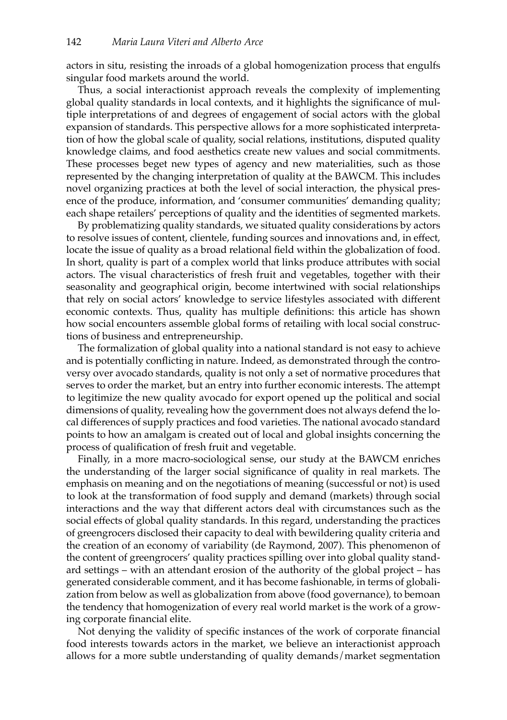actors in situ, resisting the inroads of a global homogenization process that engulfs singular food markets around the world.

Thus, a social interactionist approach reveals the complexity of implementing global quality standards in local contexts, and it highlights the significance of multiple interpretations of and degrees of engagement of social actors with the global expansion of standards. This perspective allows for a more sophisticated interpretation of how the global scale of quality, social relations, institutions, disputed quality knowledge claims, and food aesthetics create new values and social commitments. These processes beget new types of agency and new materialities, such as those represented by the changing interpretation of quality at the BAWCM. This includes novel organizing practices at both the level of social interaction, the physical presence of the produce, information, and 'consumer communities' demanding quality; each shape retailers' perceptions of quality and the identities of segmented markets.

By problematizing quality standards, we situated quality considerations by actors to resolve issues of content, clientele, funding sources and innovations and, in effect, locate the issue of quality as a broad relational field within the globalization of food. In short, quality is part of a complex world that links produce attributes with social actors. The visual characteristics of fresh fruit and vegetables, together with their seasonality and geographical origin, become intertwined with social relationships that rely on social actors' knowledge to service lifestyles associated with different economic contexts. Thus, quality has multiple definitions: this article has shown how social encounters assemble global forms of retailing with local social constructions of business and entrepreneurship.

The formalization of global quality into a national standard is not easy to achieve and is potentially conflicting in nature. Indeed, as demonstrated through the controversy over avocado standards, quality is not only a set of normative procedures that serves to order the market, but an entry into further economic interests. The attempt to legitimize the new quality avocado for export opened up the political and social dimensions of quality, revealing how the government does not always defend the local differences of supply practices and food varieties. The national avocado standard points to how an amalgam is created out of local and global insights concerning the process of qualification of fresh fruit and vegetable.

Finally, in a more macro-sociological sense, our study at the BAWCM enriches the understanding of the larger social significance of quality in real markets. The emphasis on meaning and on the negotiations of meaning (successful or not) is used to look at the transformation of food supply and demand (markets) through social interactions and the way that different actors deal with circumstances such as the social effects of global quality standards. In this regard, understanding the practices of greengrocers disclosed their capacity to deal with bewildering quality criteria and the creation of an economy of variability (de Raymond, 2007). This phenomenon of the content of greengrocers' quality practices spilling over into global quality standard settings – with an attendant erosion of the authority of the global project – has generated considerable comment, and it has become fashionable, in terms of globalization from below as well as globalization from above (food governance), to bemoan the tendency that homogenization of every real world market is the work of a growing corporate financial elite.

Not denying the validity of specific instances of the work of corporate financial food interests towards actors in the market, we believe an interactionist approach allows for a more subtle understanding of quality demands/market segmentation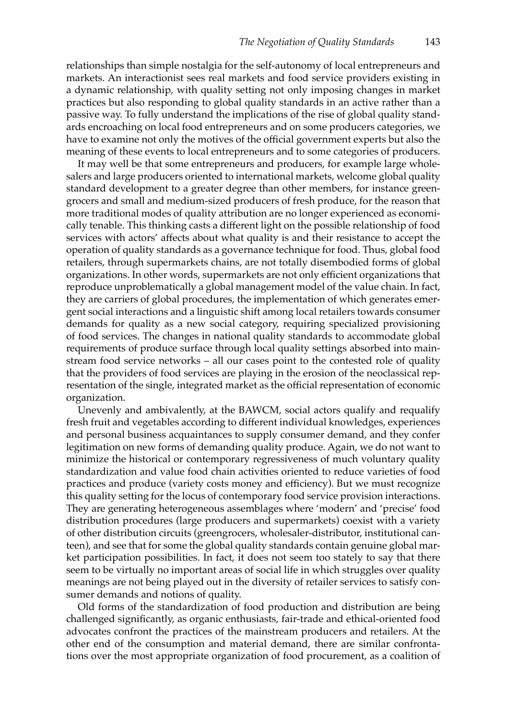relationships than simple nostalgia for the self-autonomy of local entrepreneurs and markets. An interactionist sees real markets and food service providers existing in a dynamic relationship, with quality setting not only imposing changes in market practices but also responding to global quality standards in an active rather than a passive way. To fully understand the implications of the rise of global quality standards encroaching on local food entrepreneurs and on some producers categories, we have to examine not only the motives of the official government experts but also the meaning of these events to local entrepreneurs and to some categories of producers.

It may well be that some entrepreneurs and producers, for example large wholesalers and large producers oriented to international markets, welcome global quality standard development to a greater degree than other members, for instance greengrocers and small and medium-sized producers of fresh produce, for the reason that more traditional modes of quality attribution are no longer experienced as economically tenable. This thinking casts a different light on the possible relationship of food services with actors' affects about what quality is and their resistance to accept the operation of quality standards as a governance technique for food. Thus, global food retailers, through supermarkets chains, are not totally disembodied forms of global organizations. In other words, supermarkets are not only efficient organizations that reproduce unproblematically a global management model of the value chain. In fact, they are carriers of global procedures, the implementation of which generates emergent social interactions and a linguistic shift among local retailers towards consumer demands for quality as a new social category, requiring specialized provisioning of food services. The changes in national quality standards to accommodate global requirements of produce surface through local quality settings absorbed into mainstream food service networks – all our cases point to the contested role of quality that the providers of food services are playing in the erosion of the neoclassical representation of the single, integrated market as the official representation of economic organization.

Unevenly and ambivalently, at the BAWCM, social actors qualify and requalify fresh fruit and vegetables according to different individual knowledges, experiences and personal business acquaintances to supply consumer demand, and they confer legitimation on new forms of demanding quality produce. Again, we do not want to minimize the historical or contemporary regressiveness of much voluntary quality standardization and value food chain activities oriented to reduce varieties of food practices and produce (variety costs money and efficiency). But we must recognize this quality setting for the locus of contemporary food service provision interactions. They are generating heterogeneous assemblages where 'modern' and 'precise' food distribution procedures (large producers and supermarkets) coexist with a variety of other distribution circuits (greengrocers, wholesaler-distributor, institutional canteen), and see that for some the global quality standards contain genuine global market participation possibilities. In fact, it does not seem too stately to say that there seem to be virtually no important areas of social life in which struggles over quality meanings are not being played out in the diversity of retailer services to satisfy consumer demands and notions of quality.

Old forms of the standardization of food production and distribution are being challenged significantly, as organic enthusiasts, fair-trade and ethical-oriented food advocates confront the practices of the mainstream producers and retailers. At the other end of the consumption and material demand, there are similar confrontations over the most appropriate organization of food procurement, as a coalition of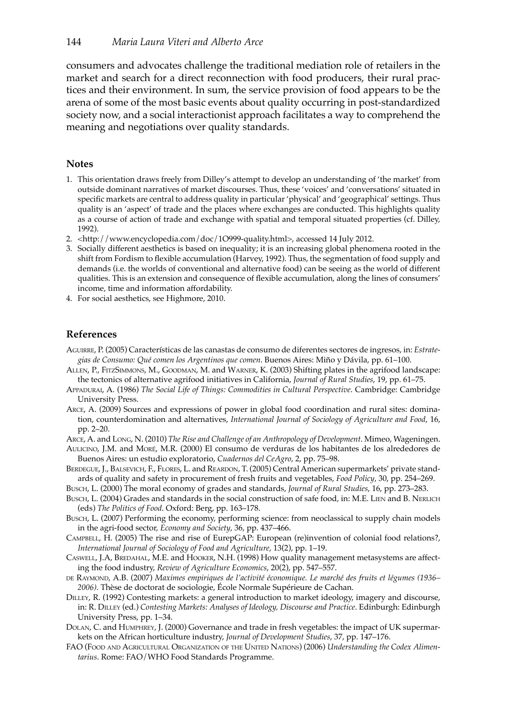consumers and advocates challenge the traditional mediation role of retailers in the market and search for a direct reconnection with food producers, their rural practices and their environment. In sum, the service provision of food appears to be the arena of some of the most basic events about quality occurring in post-standardized society now, and a social interactionist approach facilitates a way to comprehend the meaning and negotiations over quality standards.

## **Notes**

- 1. This orientation draws freely from Dilley's attempt to develop an understanding of 'the market' from outside dominant narratives of market discourses. Thus, these 'voices' and 'conversations' situated in specific markets are central to address quality in particular 'physical' and 'geographical' settings. Thus quality is an 'aspect' of trade and the places where exchanges are conducted. This highlights quality as a course of action of trade and exchange with spatial and temporal situated properties (cf. Dilley, 1992).
- 2. <http://www.encyclopedia.com/doc/1O999-quality.html>, accessed 14 July 2012.
- 3. Socially different aesthetics is based on inequality; it is an increasing global phenomena rooted in the shift from Fordism to flexible accumulation (Harvey, 1992). Thus, the segmentation of food supply and demands (i.e. the worlds of conventional and alternative food) can be seeing as the world of different qualities. This is an extension and consequence of flexible accumulation, along the lines of consumers' income, time and information affordability.
- 4. For social aesthetics, see Highmore, 2010.

## **References**

- Aguirre, P. (2005) Características de las canastas de consumo de diferentes sectores de ingresos, in: *Estrategias de Consumo: Qué comen los Argentinos que comen*. Buenos Aires: Miño y Dávila, pp. 61–100.
- Allen, P., FitzSimmons, M., Goodman, M. and Warner, K. (2003) Shifting plates in the agrifood landscape: the tectonics of alternative agrifood initiatives in California, *Journal of Rural Studies*, 19, pp. 61–75.
- Appadurai, A. (1986) *The Social Life of Things: Commodities in Cultural Perspective*. Cambridge: Cambridge University Press.
- Arce, A. (2009) Sources and expressions of power in global food coordination and rural sites: domination, counterdomination and alternatives, *International Journal of Sociology of Agriculture and Food*, 16, pp. 2–20.
- Arce, A. and Long, N. (2010) *The Rise and Challenge of an Anthropology of Development*. Mimeo, Wageningen.
- Aulicino, J.M. and Moré, M.R. (2000) El consumo de verduras de los habitantes de los alrededores de Buenos Aires: un estudio exploratorio, *Cuadernos del CeAgro*, 2, pp. 75–98.

BERDEGUE, J., BALSEVICH, F., FLORES, L. and REARDON, T. (2005) Central American supermarkets' private standards of quality and safety in procurement of fresh fruits and vegetables, *Food Policy*, 30, pp. 254–269.

Busch, L. (2000) The moral economy of grades and standards, *Journal of Rural Studies*, 16, pp. 273–283.

- Busch, L. (2004) Grades and standards in the social construction of safe food, in: M.E. LIEN and B. NERLICH (eds) *The Politics of Food*. Oxford: Berg, pp. 163–178.
- Busch, L. (2007) Performing the economy, performing science: from neoclassical to supply chain models in the agri-food sector, *Economy and Society*, 36, pp. 437–466.
- Campbell, H. (2005) The rise and rise of EurepGAP: European (re)invention of colonial food relations?, *International Journal of Sociology of Food and Agriculture*, 13(2), pp. 1–19.
- CASWELL, J.A, BREDAHAL, M.E. and HOOKER, N.H. (1998) How quality management metasystems are affecting the food industry, *Review of Agriculture Economics*, 20(2), pp. 547–557.
- de Raymond, A.B. (2007) *Maximes empiriques de l'activité économique. Le marché des fruits et légumes (1936– 2006)*. Thèse de doctorat de sociologie, École Normale Supérieure de Cachan.
- Dilley, R. (1992) Contesting markets: a general introduction to market ideology, imagery and discourse, in: R. Dilley (ed.) *Contesting Markets: Analyses of Ideology, Discourse and Practice*. Edinburgh: Edinburgh University Press, pp. 1–34.
- Dolan, C. and Humphrey, J. (2000) Governance and trade in fresh vegetables: the impact of UK supermarkets on the African horticulture industry, *Journal of Development Studies*, 37, pp. 147–176.
- FAO (Food and Agricultural Organization of the United Nations) (2006) *Understanding the Codex Alimentarius*. Rome: FAO/WHO Food Standards Programme.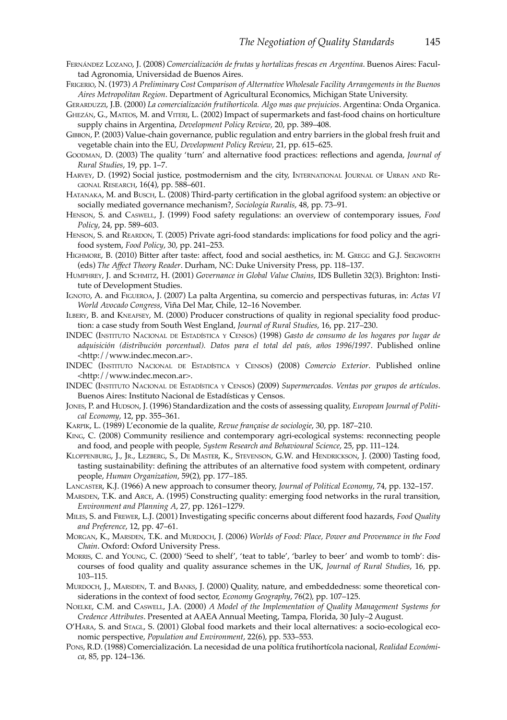- Fernández Lozano, J. (2008) *Comercialización de frutas y hortalizas frescas en Argentina*. Buenos Aires: Facultad Agronomia, Universidad de Buenos Aires.
- Frigerio, N. (1973) *A Preliminary Cost Comparison of Alternative Wholesale Facility Arrangements in the Buenos Aires Metropolitan Region*. Department of Agricultural Economics, Michigan State University.

Gerarduzzi, J.B. (2000) *La comercialización frutihorticola. Algo mas que prejuicios*. Argentina: Onda Organica.

Ghezán, G., Mateos, M. and Viteri, L. (2002) Impact of supermarkets and fast-food chains on horticulture supply chains in Argentina, *Development Policy Review*, 20, pp. 389–408.

- Gibbon, P. (2003) Value-chain governance, public regulation and entry barriers in the global fresh fruit and vegetable chain into the EU, *Development Policy Review*, 21, pp. 615–625.
- Goodman, D. (2003) The quality 'turn' and alternative food practices: reflections and agenda, *Journal of Rural Studies*, 19, pp. 1–7.
- HARVEY, D. (1992) Social justice, postmodernism and the city, INTERNATIONAL JOURNAL OF URBAN AND REgional Research, 16(4), pp. 588–601.
- Hatanaka, M. and Busch, L. (2008) Third-party certification in the global agrifood system: an objective or socially mediated governance mechanism?, *Sociologia Ruralis*, 48, pp. 73–91.
- Henson, S. and Caswell, J. (1999) Food safety regulations: an overview of contemporary issues, *Food Policy*, 24, pp. 589–603.
- HENSON, S. and REARDON, T. (2005) Private agri-food standards: implications for food policy and the agrifood system, *Food Policy*, 30, pp. 241–253.
- HIGHMORE, B. (2010) Bitter after taste: affect, food and social aesthetics, in: M. GREGG and G.J. SEIGWORTH (eds) *The Affect Theory Reader*. Durham, NC: Duke University Press, pp. 118–137.
- Humphrey, J. and Schmitz, H. (2001) *Governance in Global Value Chains*, IDS Bulletin 32(3). Brighton: Institute of Development Studies.
- Ignoto, A. and Figueroa, J. (2007) La palta Argentina, su comercio and perspectivas futuras, in: *Actas VI World Avocado Congress*, Viña Del Mar, Chile, 12–16 November.
- Ilbery, B. and Kneafsey, M. (2000) Producer constructions of quality in regional speciality food production: a case study from South West England, *Journal of Rural Studies*, 16, pp. 217–230.
- INDEC (Instituto Nacional de Estadística <sup>y</sup> Censos) (1998) *Gasto de consumo de los hogares por lugar de adquisición (distribución porcentual). Datos para el total del país, años 1996/1997*. Published online <http://www.indec.mecon.ar>.
- INDEC (Instituto Nacional de Estadística <sup>y</sup> Censos) (2008) *Comercio Exterior*. Published online <http://www.indec.mecon.ar>.
- INDEC (Instituto Nacional de Estadística <sup>y</sup> Censos) (2009) *Supermercados. Ventas por grupos de artículos*. Buenos Aires: Instituto Nacional de Estadísticas y Censos.
- Jones, P. and Hudson, J. (1996) Standardization and the costs of assessing quality, *European Journal of Political Economy*, 12, pp. 355–361.
- Karpik, L. (1989) L'economie de la qualite, *Revue française de sociologie*, 30, pp. 187–210.
- King, C. (2008) Community resilience and contemporary agri-ecological systems: reconnecting people and food, and people with people, *System Research and Behavioural Science*, 25, pp. 111–124.
- Kloppenburg, J., Jr., Lezberg, S., De Master, K., Stevenson, G.W. and Hendrickson, J. (2000) Tasting food, tasting sustainability: defining the attributes of an alternative food system with competent, ordinary people, *Human Organization*, 59(2), pp. 177–185.
- Lancaster, K.J. (1966) A new approach to consumer theory, *Journal of Political Economy*, 74, pp. 132–157.
- Marsden, T.K. and Arce, A. (1995) Constructing quality: emerging food networks in the rural transition, *Environment and Planning A*, 27, pp. 1261–1279.
- Miles, S. and Frewer, L.J. (2001) Investigating specific concerns about different food hazards, *Food Quality and Preference*, 12, pp. 47–61.
- Morgan, K., Marsden, T.K. and Murdoch, J. (2006) *Worlds of Food: Place, Power and Provenance in the Food Chain*. Oxford: Oxford University Press.
- Morris, C. and Young, C. (2000) 'Seed to shelf', 'teat to table', 'barley to beer' and womb to tomb': discourses of food quality and quality assurance schemes in the UK, *Journal of Rural Studies*, 16, pp. 103–115.
- MURDOCH, J., MARSDEN, T. and BANKS, J. (2000) Quality, nature, and embeddedness: some theoretical considerations in the context of food sector, *Economy Geography*, 76(2), pp. 107–125.
- Noelke, C.M. and Caswell, J.A. (2000) *A Model of the Implementation of Quality Management Systems for Credence Attributes*. Presented at AAEA Annual Meeting, Tampa, Florida, 30 July–2 August.
- O'HARA, S. and STAGL, S. (2001) Global food markets and their local alternatives: a socio-ecological economic perspective, *Population and Environment*, 22(6), pp. 533–553.
- Pons, R.D. (1988) Comercialización. La necesidad de una política frutihortícola nacional, *Realidad Económica*, 85, pp. 124–136.